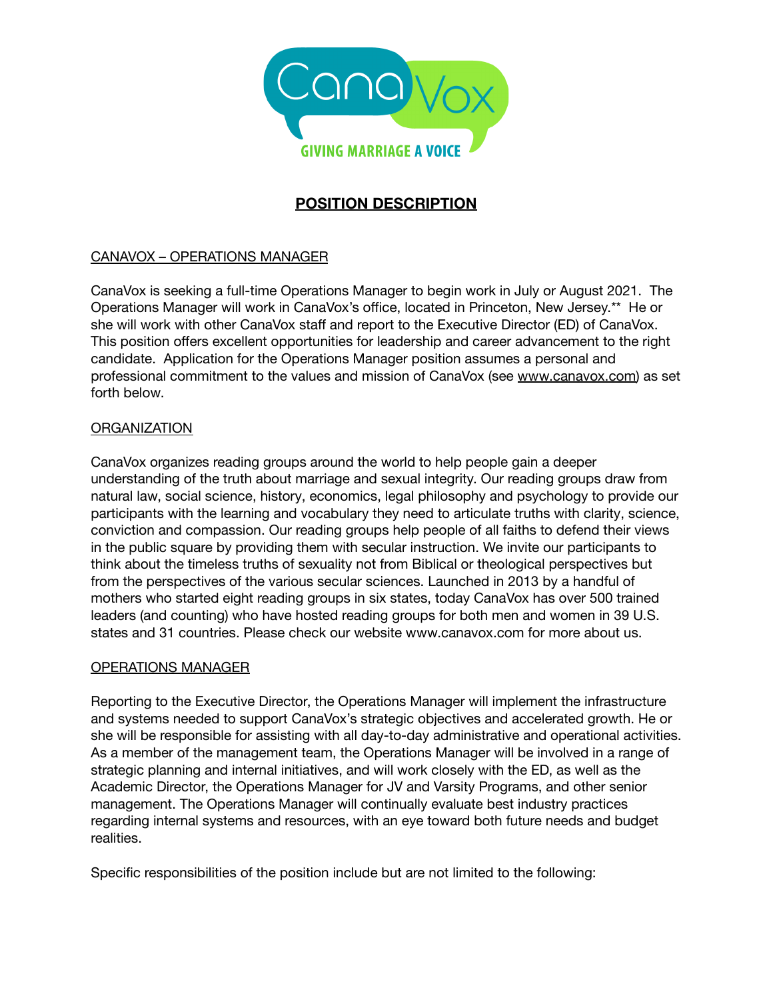

# **POSITION DESCRIPTION**

## CANAVOX – OPERATIONS MANAGER

CanaVox is seeking a full-time Operations Manager to begin work in July or August 2021. The Operations Manager will work in CanaVox's office, located in Princeton, New Jersey.\*\* He or she will work with other CanaVox staff and report to the Executive Director (ED) of CanaVox. This position offers excellent opportunities for leadership and career advancement to the right candidate. Application for the Operations Manager position assumes a personal and professional commitment to the values and mission of CanaVox (see [www.canavox.com\)](http://www.canavox.com) as set forth below.

#### **ORGANIZATION**

CanaVox organizes reading groups around the world to help people gain a deeper understanding of the truth about marriage and sexual integrity. Our reading groups draw from natural law, social science, history, economics, legal philosophy and psychology to provide our participants with the learning and vocabulary they need to articulate truths with clarity, science, conviction and compassion. Our reading groups help people of all faiths to defend their views in the public square by providing them with secular instruction. We invite our participants to think about the timeless truths of sexuality not from Biblical or theological perspectives but from the perspectives of the various secular sciences. Launched in 2013 by a handful of mothers who started eight reading groups in six states, today CanaVox has over 500 trained leaders (and counting) who have hosted reading groups for both men and women in 39 U.S. states and 31 countries. Please check our website www.canavox.com for more about us.

#### OPERATIONS MANAGER

Reporting to the Executive Director, the Operations Manager will implement the infrastructure and systems needed to support CanaVox's strategic objectives and accelerated growth. He or she will be responsible for assisting with all day-to-day administrative and operational activities. As a member of the management team, the Operations Manager will be involved in a range of strategic planning and internal initiatives, and will work closely with the ED, as well as the Academic Director, the Operations Manager for JV and Varsity Programs, and other senior management. The Operations Manager will continually evaluate best industry practices regarding internal systems and resources, with an eye toward both future needs and budget realities.

Specific responsibilities of the position include but are not limited to the following: